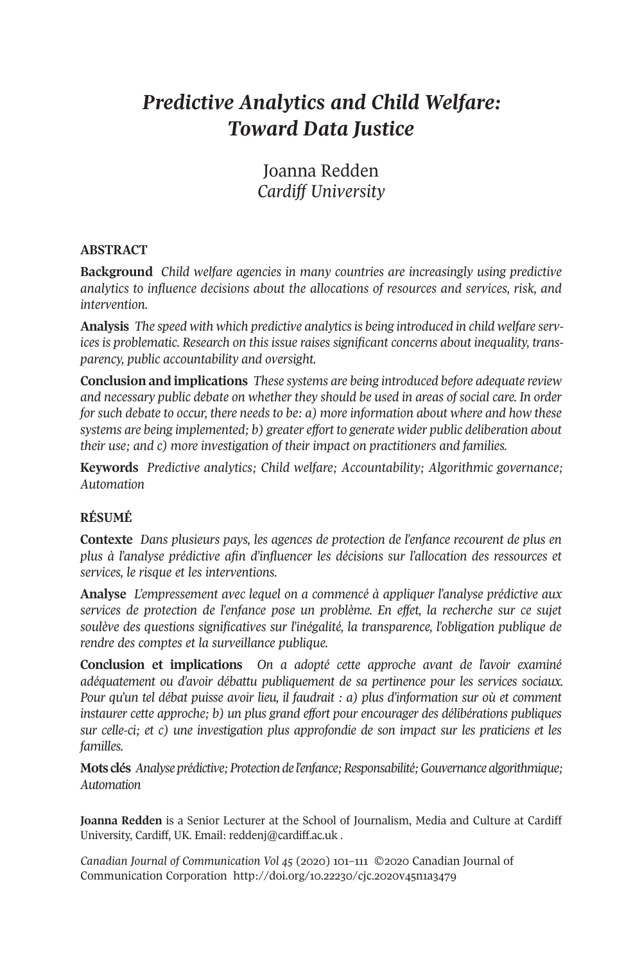# *Predictive Analytics and Child Welfare: Toward Data Justice*

Joanna Redden *Cardiff University*

#### **ABSTRACT**

**Background** *Child welfare agencies in many countries are increasingly using predictive analytics to influence decisions about the allocations of resources and services, risk, and intervention.*

**Analysis** *The speed with which predictive analyticsis being introduced in child welfare services is problematic. Research on this issue raises significant concerns about inequality, transparency, public accountability and oversight.*

**Conclusion and implications** *These systems are being introduced before adequate review and necessary public debate on whether they should be used in areas of social care. In order for such debate to occur, there needs to be: a) more information about where and how these systems are being implemented; b) greater effort to generate wider public deliberation about their use; and c) more investigation of their impact on practitioners and families.*

**Keywords** *Predictive analytics; Child welfare; Accountability; Algorithmic governance; Automation*

## **RÉSUMÉ**

**Contexte** *Dans plusieurs pays, les agences de protection de l'enfance recourent de plus en plus à l'analyse prédictive afin d'influencer les décisions sur l'allocation des ressources et services, le risque et les interventions.*

**Analyse** *L'empressement avec lequel on a commencé à appliquer l'analyse prédictive aux services de protection de l'enfance pose un problème. En effet, la recherche sur ce sujet soulève des questions significatives sur l'inégalité, la transparence, l'obligation publique de rendre des comptes et la surveillance publique.*

**Conclusion et implications** *On a adopté cette approche avant de l'avoir examiné adéquatement ou d'avoir débattu publiquement de sa pertinence pour les services sociaux. Pour qu'un tel débat puisse avoir lieu, il faudrait : a) plus d'information sur où et comment instaurer cette approche; b) un plus grand effort pour encourager des délibérations publiques sur celle-ci; et c) une investigation plus approfondie de son impact sur les praticiens et les familles.*

**Mots clés** *Analyseprédictive;Protectionde l'enfance;Responsabilité;Gouvernancealgorithmique; Automation*

**Joanna Redden** is a Senior Lecturer at the School of Journalism, Media and Culture at Cardiff University, Cardiff, UK. Email: [reddenj@cardiff.ac.uk](mailto:reddenj@cardiff.ac.uk) .

*Canadian Journal of [Communication](http://www.cjc-online.ca) Vol 45* (2020) 101–111 ©2020 Canadian Journal of Communication Corporation <http://doi.org/10.22230/cjc.2020v45n1a3479>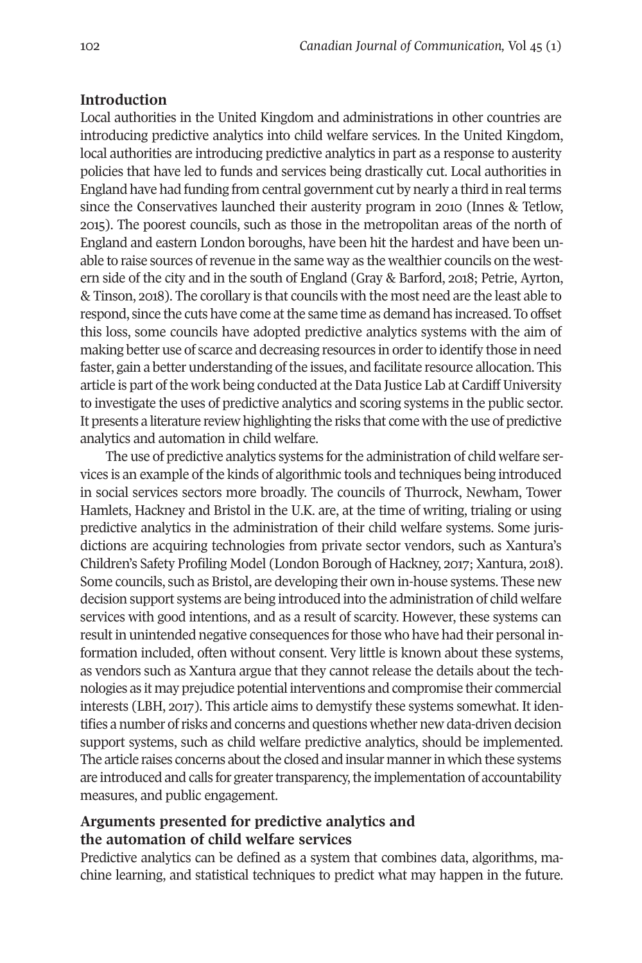### **Introduction**

Local authorities in the United Kingdom and administrations in other countries are introducing predictive analytics into child welfare services. In the United Kingdom, local authorities are introducing predictive analytics in part as a response to austerity policies that have led to funds and services being drastically cut. Local authorities in England have had funding from central government cut by nearly a third in realterms since the Conservatives launched their austerity program in 2010 (Innes & Tetlow, 2015). The poorest councils, such as those in the metropolitan areas of the north of England and eastern London boroughs, have been hit the hardest and have been unable to raise sources ofrevenue in the same way as the wealthier councils on the western side of the city and in the south of England (Gray & Barford, 2018; Petrie, Ayrton, & Tinson, 2018). The corollary is that councils with the most need are the least able to respond, since the cuts have come at the same time as demand has increased. To offset this loss, some councils have adopted predictive analytics systems with the aim of making better use of scarce and decreasing resources in order to identify those in need faster, gain a better understanding of the issues, and facilitate resource allocation. This article is part of the work being conducted at the Data Justice Lab at Cardiff University to investigate the uses of predictive analytics and scoring systems in the public sector. It presents a literature review highlighting the risks that come with the use of predictive analytics and automation in child welfare.

The use of predictive analytics systems for the administration of child welfare services is an example of the kinds of algorithmic tools and techniques being introduced in social services sectors more broadly. The councils of Thurrock, Newham, Tower Hamlets, Hackney and Bristol in the U.K. are, at the time of writing, trialing or using predictive analytics in the administration of their child welfare systems. Some jurisdictions are acquiring technologies from private sector vendors, such as Xantura's Children's Safety Profiling Model (London Borough of Hackney, 2017; Xantura, 2018). Some councils, such as Bristol, are developing their own in-house systems. These new decision support systems are being introduced into the administration of child welfare services with good intentions, and as a result of scarcity. However, these systems can result in unintended negative consequences for those who have had their personal information included, often without consent. Very little is known about these systems, as vendors such as Xantura argue that they cannot release the details about the technologies as it may prejudice potential interventions and compromise their commercial interests (LBH, 2017). This article aims to demystify these systems somewhat. It identifies a number ofrisks and concerns and questions whether new data-driven decision support systems, such as child welfare predictive analytics, should be implemented. The article raises concerns about the closed and insular manner in which these systems are introduced and calls for greater transparency, the implementation of accountability measures, and public engagement.

## **Arguments presented for predictive analytics and the automation of child welfare services**

Predictive analytics can be defined as a system that combines data, algorithms, machine learning, and statistical techniques to predict what may happen in the future.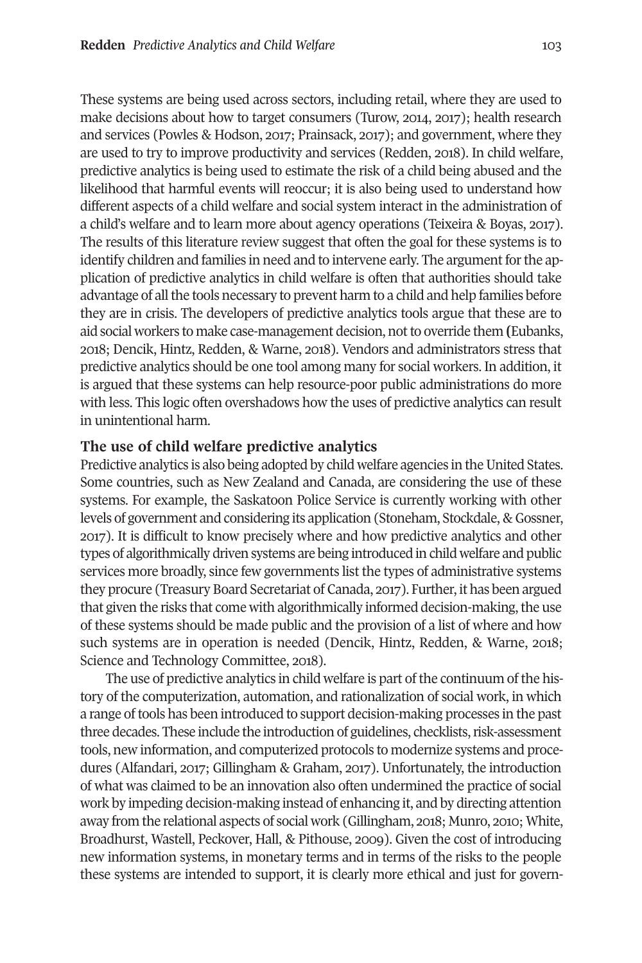These systems are being used across sectors, including retail, where they are used to make decisions about how to target consumers (Turow, 2014, 2017); health research and services (Powles & Hodson, 2017; Prainsack, 2017); and government, where they are used to try to improve productivity and services (Redden, 2018). In child welfare, predictive analytics is being used to estimate the risk of a child being abused and the likelihood that harmful events will reoccur; it is also being used to understand how different aspects of a child welfare and social system interact in the administration of a child's welfare and to learn more about agency operations (Teixeira & Boyas, 2017). The results of this literature review suggest that often the goal for these systems is to identify children and families in need and to intervene early. The argument for the application of predictive analytics in child welfare is often that authorities should take advantage of all the tools necessary to prevent harm to a child and help families before they are in crisis. The developers of predictive analytics tools argue that these are to aid social workers to make case-management decision, notto override them **(**Eubanks, 2018; Dencik, Hintz, Redden, & Warne, 2018). Vendors and administrators stress that predictive analytics should be one tool among many for social workers. In addition, it is argued that these systems can help resource-poor public administrations do more with less. This logic often overshadows how the uses of predictive analytics can result in unintentional harm.

## **The use of child welfare predictive analytics**

Predictive analytics is also being adopted by child welfare agencies in the United States. Some countries, such as New Zealand and Canada, are considering the use of these systems. For example, the Saskatoon Police Service is currently working with other levels of government and considering its application (Stoneham, Stockdale, & Gossner, 2017). It is difficult to know precisely where and how predictive analytics and other types of algorithmically driven systems are being introduced in child welfare and public services more broadly, since few governments list the types of administrative systems they procure (Treasury Board Secretariat of Canada, 2017). Further, it has been argued that given the risks that come with algorithmically informed decision-making, the use of these systems should be made public and the provision of a list of where and how such systems are in operation is needed (Dencik, Hintz, Redden, & Warne, 2018; Science and Technology Committee, 2018).

The use of predictive analytics in child welfare is part of the continuum of the history of the computerization, automation, and rationalization of social work, in which a range oftools has been introduced to support decision-making processes in the past three decades. These include the introduction of guidelines, checklists, risk-assessment tools, new information, and computerized protocols to modernize systems and procedures (Alfandari, 2017; Gillingham & Graham, 2017). Unfortunately, the introduction of what was claimed to be an innovation also often undermined the practice of social work by impeding decision-making instead of enhancing it, and by directing attention away from the relational aspects of social work (Gillingham, 2018; Munro, 2010; White, Broadhurst, Wastell, Peckover, Hall, & Pithouse, 2009). Given the cost of introducing new information systems, in monetary terms and in terms of the risks to the people these systems are intended to support, it is clearly more ethical and just for govern-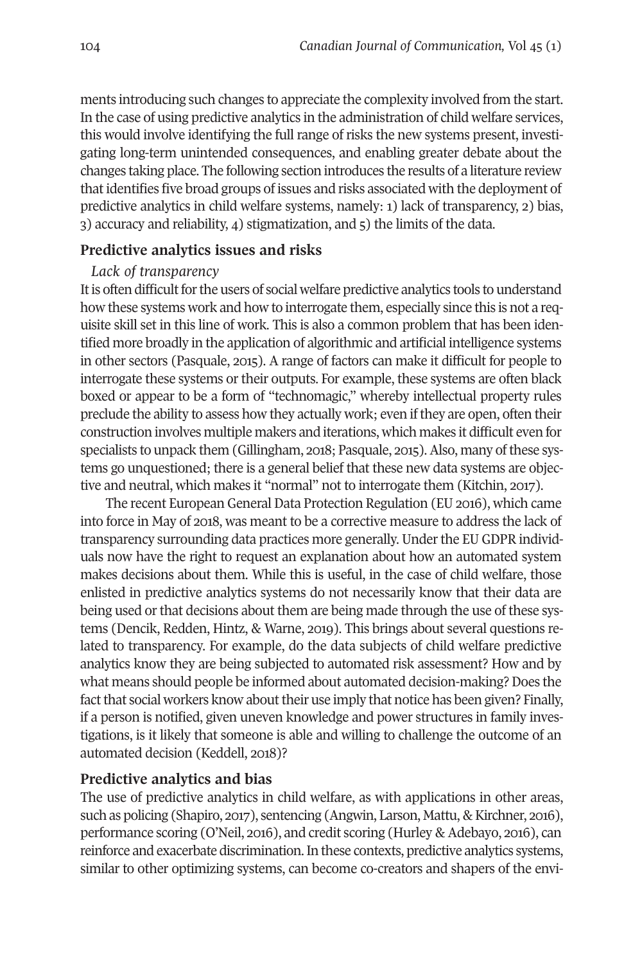ments introducing such changes to appreciate the complexity involved from the start. In the case of using predictive analytics in the administration of child welfare services, this would involve identifying the full range of risks the new systems present, investigating long-term unintended consequences, and enabling greater debate about the changes taking place. The following section introduces the results of a literature review thatidentifies five broad groups of issues and risks associated with the deployment of predictive analytics in child welfare systems, namely: 1) lack of transparency, 2) bias, 3) accuracy and reliability, 4) stigmatization, and 5) the limits of the data.

#### **Predictive analytics issues and risks**

#### *Lack of transparency*

It is often difficult for the users of social welfare predictive analytics tools to understand how these systems work and how to interrogate them, especially since this is not a requisite skill set in this line of work. This is also a common problem that has been identified more broadly in the application of algorithmic and artificial intelligence systems in other sectors (Pasquale, 2015). A range of factors can make it difficult for people to interrogate these systems or their outputs. For example, these systems are often black boxed or appear to be a form of "technomagic," whereby intellectual property rules preclude the ability to assess how they actually work; even ifthey are open, often their construction involves multiple makers and iterations, which makes it difficult even for specialists to unpack them (Gillingham, 2018; Pasquale, 2015). Also, many of these systems go unquestioned; there is a general belief that these new data systems are objective and neutral, which makes it "normal" not to interrogate them (Kitchin, 2017).

The recent European General Data Protection Regulation (EU 2016), which came into force in May of 2018, was meant to be a corrective measure to address the lack of transparency surrounding data practices more generally. Underthe EU GDPR individuals now have the right to request an explanation about how an automated system makes decisions about them. While this is useful, in the case of child welfare, those enlisted in predictive analytics systems do not necessarily know that their data are being used orthat decisions about them are being made through the use of these systems (Dencik, Redden, Hintz, & Warne, 2019). This brings about several questions related to transparency. For example, do the data subjects of child welfare predictive analytics know they are being subjected to automated risk assessment? How and by what means should people be informed about automated decision-making? Does the fact that social workers know about their use imply that notice has been given? Finally, if a person is notified, given uneven knowledge and power structures in family investigations, is it likely that someone is able and willing to challenge the outcome of an automated decision (Keddell, 2018)?

### **Predictive analytics and bias**

The use of predictive analytics in child welfare, as with applications in other areas, such as policing (Shapiro, 2017), sentencing (Angwin, Larson, Mattu, & Kirchner, 2016), performance scoring (O'Neil, 2016), and credit scoring (Hurley & Adebayo, 2016), can reinforce and exacerbate discrimination.In these contexts, predictive analytics systems, similar to other optimizing systems, can become co-creators and shapers of the envi-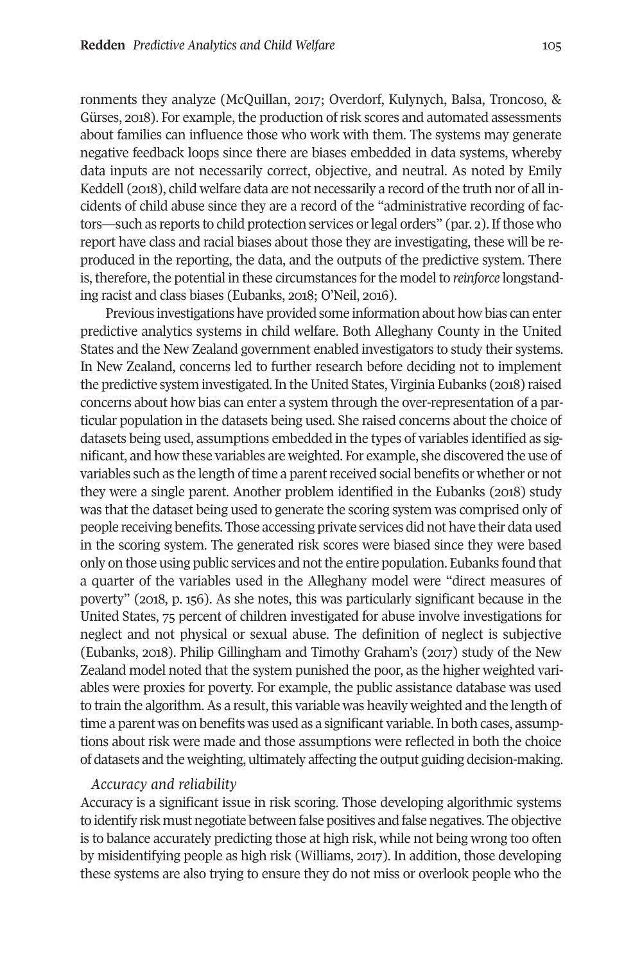ronments they analyze (McQuillan, 2017; Overdorf, Kulynych, Balsa, Troncoso, & Gürses, 2018). For example, the production ofrisk scores and automated assessments about families can influence those who work with them. The systems may generate negative feedback loops since there are biases embedded in data systems, whereby data inputs are not necessarily correct, objective, and neutral. As noted by Emily Keddell (2018), child welfare data are not necessarily a record of the truth nor of all incidents of child abuse since they are a record of the "administrative recording of factors—such as reports to child protection services or legal orders" (par. 2). If those who report have class and racial biases about those they are investigating, these will be reproduced in the reporting, the data, and the outputs of the predictive system. There is, therefore, the potential in these circumstances forthe model to *reinforce* longstanding racist and class biases (Eubanks, 2018; O'Neil, 2016).

Previous investigations have provided some information about how bias can enter predictive analytics systems in child welfare. Both Alleghany County in the United States and the New Zealand government enabled investigators to study their systems. In New Zealand, concerns led to further research before deciding not to implement the predictive system investigated. In the United States, Virginia Eubanks (2018) raised concerns about how bias can enter a system through the over-representation of a particular population in the datasets being used. She raised concerns about the choice of datasets being used, assumptions embedded in the types of variables identified as significant, and how these variables are weighted. For example, she discovered the use of variables such as the length of time a parent received social benefits or whether or not they were a single parent. Another problem identified in the Eubanks (2018) study was that the dataset being used to generate the scoring system was comprised only of people receiving benefits. Those accessing private services did not have their data used in the scoring system. The generated risk scores were biased since they were based only on those using public services and notthe entire population. Eubanks found that a quarter of the variables used in the Alleghany model were "direct measures of poverty" (2018, p. 156). As she notes, this was particularly significant because in the United States, 75 percent of children investigated for abuse involve investigations for neglect and not physical or sexual abuse. The definition of neglect is subjective (Eubanks, 2018). Philip Gillingham and Timothy Graham's (2017) study of the New Zealand model noted that the system punished the poor, as the higher weighted variables were proxies for poverty. For example, the public assistance database was used to train the algorithm. As a result, this variable was heavily weighted and the length of time a parent was on benefits was used as a significant variable.In both cases, assumptions about risk were made and those assumptions were reflected in both the choice of datasets and the weighting, ultimately affecting the output guiding decision-making.

#### *Accuracy and reliability*

Accuracy is a significant issue in risk scoring. Those developing algorithmic systems to identify risk must negotiate between false positives and false negatives. The objective is to balance accurately predicting those at high risk, while not being wrong too often by misidentifying people as high risk (Williams, 2017). In addition, those developing these systems are also trying to ensure they do not miss or overlook people who the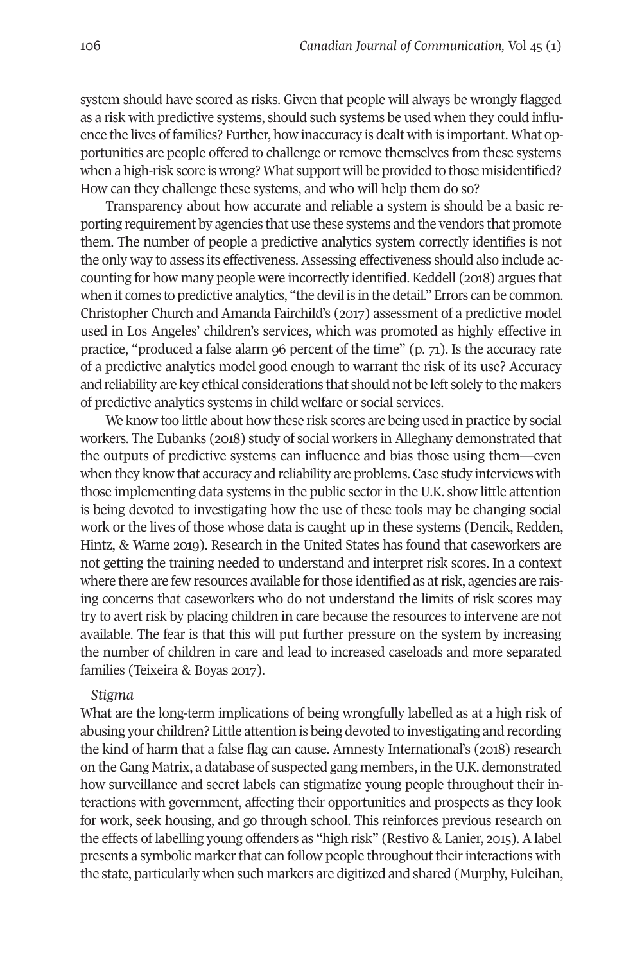system should have scored as risks. Given that people will always be wrongly flagged as a risk with predictive systems, should such systems be used when they could influence the lives of families? Further, how inaccuracy is dealt with is important. What opportunities are people offered to challenge or remove themselves from these systems when a high-risk score is wrong? What support will be provided to those misidentified? How can they challenge these systems, and who will help them do so?

Transparency about how accurate and reliable a system is should be a basic reporting requirement by agencies that use these systems and the vendors that promote them. The number of people a predictive analytics system correctly identifies is not the only way to assess its effectiveness. Assessing effectiveness should also include accounting for how many people were incorrectly identified. Keddell (2018) argues that when it comes to predictive analytics, "the devil is in the detail." Errors can be common. Christopher Church and Amanda Fairchild's (2017) assessment of a predictive model used in Los Angeles' children's services, which was promoted as highly effective in practice, "produced a false alarm 96 percent of the time" (p. 71). Is the accuracy rate of a predictive analytics model good enough to warrant the risk of its use? Accuracy and reliability are key ethical considerations that should not be left solely to the makers of predictive analytics systems in child welfare or social services.

We know too little about how these risk scores are being used in practice by social workers. The Eubanks (2018) study of social workers in Alleghany demonstrated that the outputs of predictive systems can influence and bias those using them—even when they know that accuracy and reliability are problems. Case study interviews with those implementing data systems in the public sectorin the U.K. show little attention is being devoted to investigating how the use of these tools may be changing social work or the lives of those whose data is caught up in these systems (Dencik, Redden, Hintz, & Warne 2019). Research in the United States has found that caseworkers are not getting the training needed to understand and interpret risk scores. In a context where there are few resources available for those identified as at risk, agencies are raising concerns that caseworkers who do not understand the limits of risk scores may try to avert risk by placing children in care because the resources to intervene are not available. The fear is that this will put further pressure on the system by increasing the number of children in care and lead to increased caseloads and more separated families (Teixeira & Boyas 2017).

#### *Stigma*

What are the long-term implications of being wrongfully labelled as at a high risk of abusing your children? Little attention is being devoted to investigating and recording the kind of harm that a false flag can cause. Amnesty International's (2018) research on the Gang Matrix, a database of suspected gang members, in theU.K. demonstrated how surveillance and secret labels can stigmatize young people throughout their interactions with government, affecting their opportunities and prospects as they look for work, seek housing, and go through school. This reinforces previous research on the effects of labelling young offenders as "high risk" (Restivo & Lanier, 2015). A label presents a symbolic marker that can follow people throughout their interactions with the state, particularly when such markers are digitized and shared (Murphy, Fuleihan,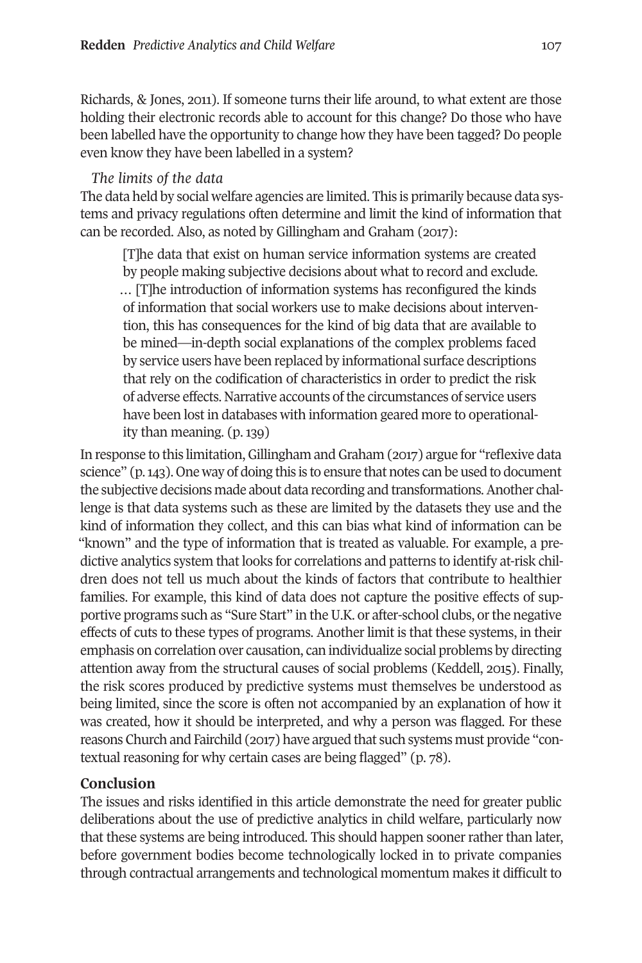Richards, & Jones, 2011). If someone turns their life around, to what extent are those holding their electronic records able to account for this change? Do those who have been labelled have the opportunity to change how they have been tagged? Do people even know they have been labelled in a system?

## *The limits of the data*

The data held by social welfare agencies are limited. This is primarily because data systems and privacy regulations often determine and limit the kind of information that can be recorded. Also, as noted by Gillingham and Graham (2017):

[T]he data that exist on human service information systems are created by people making subjective decisions about what to record and exclude. … [T]he introduction of information systems has reconfigured the kinds of information that social workers use to make decisions about intervention, this has consequences for the kind of big data that are available to be mined—in-depth social explanations of the complex problems faced by service users have been replaced by informational surface descriptions that rely on the codification of characteristics in order to predict the risk of adverse effects. Narrative accounts of the circumstances of service users have been lost in databases with information geared more to operationality than meaning. (p. 139)

In response to this limitation, Gillingham and Graham (2017) argue for "reflexive data science" (p.143). One way of doing this is to ensure that notes can be used to document the subjective decisions made about data recording and transformations.Another challenge is that data systems such as these are limited by the datasets they use and the kind of information they collect, and this can bias what kind of information can be "known" and the type of information that is treated as valuable. For example, a predictive analytics system that looks for correlations and patterns to identify at-risk children does not tell us much about the kinds of factors that contribute to healthier families. For example, this kind of data does not capture the positive effects of supportive programs such as "Sure Start" in the U.K. or after-school clubs, or the negative effects of cuts to these types of programs. Another limit is that these systems, in their emphasis on correlation over causation, can individualize social problems by directing attention away from the structural causes of social problems (Keddell, 2015). Finally, the risk scores produced by predictive systems must themselves be understood as being limited, since the score is often not accompanied by an explanation of how it was created, how it should be interpreted, and why a person was flagged. For these reasons Church and Fairchild (2017) have argued that such systems must provide "contextual reasoning for why certain cases are being flagged" (p. 78).

# **Conclusion**

The issues and risks identified in this article demonstrate the need for greater public deliberations about the use of predictive analytics in child welfare, particularly now that these systems are being introduced. This should happen sooner rather than later, before government bodies become technologically locked in to private companies through contractual arrangements and technological momentum makes it difficult to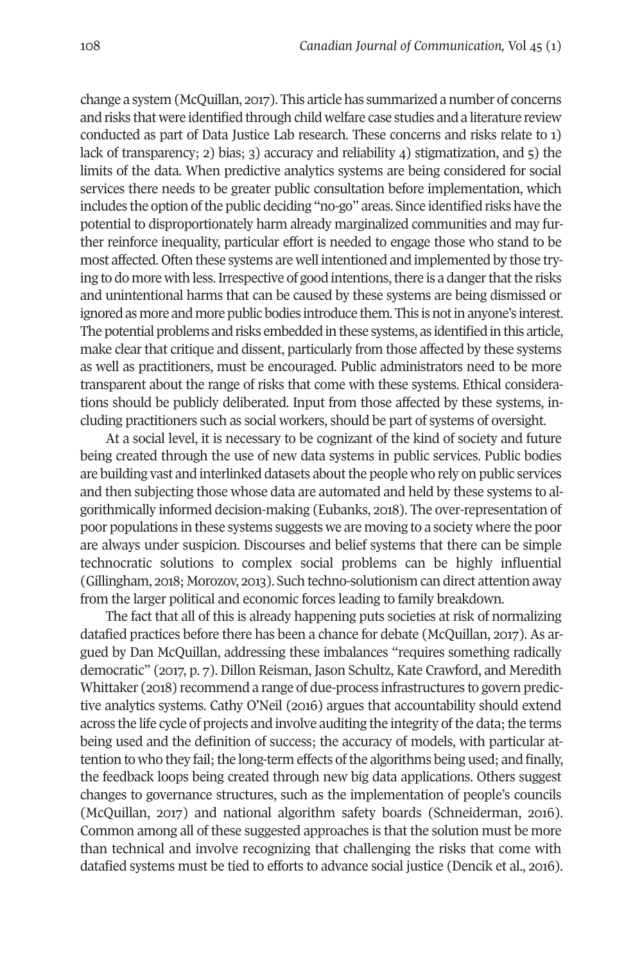change a system (McQuillan, 2017). This article has summarized a number of concerns and risks that were identified through child welfare case studies and a literature review conducted as part of Data Justice Lab research. These concerns and risks relate to 1) lack of transparency; 2) bias; 3) accuracy and reliability 4) stigmatization, and 5) the limits of the data. When predictive analytics systems are being considered for social services there needs to be greater public consultation before implementation, which includes the option ofthe public deciding "no-go" areas. Since identified risks have the potential to disproportionately harm already marginalized communities and may further reinforce inequality, particular effort is needed to engage those who stand to be most affected. Often these systems are well intentioned and implemented by those trying to do more with less. Irrespective of good intentions, there is a danger that the risks and unintentional harms that can be caused by these systems are being dismissed or ignored as more and more public bodies introduce them. This is notin anyone's interest. The potential problems and risks embedded in these systems, as identified in this article, make clear that critique and dissent, particularly from those affected by these systems as well as practitioners, must be encouraged. Public administrators need to be more transparent about the range of risks that come with these systems. Ethical considerations should be publicly deliberated. Input from those affected by these systems, including practitioners such as social workers, should be part of systems of oversight.

At a social level, it is necessary to be cognizant of the kind of society and future being created through the use of new data systems in public services. Public bodies are building vast and interlinked datasets about the people who rely on public services and then subjecting those whose data are automated and held by these systems to algorithmically informed decision-making (Eubanks, 2018). The over-representation of poor populations in these systems suggests we are moving to a society where the poor are always under suspicion. Discourses and belief systems that there can be simple technocratic solutions to complex social problems can be highly influential (Gillingham, 2018; Morozov, 2013). Such techno-solutionism can direct attention away from the larger political and economic forces leading to family breakdown.

The fact that all of this is already happening puts societies at risk of normalizing datafied practices before there has been a chance for debate (McQuillan, 2017). As argued by Dan McQuillan, addressing these imbalances "requires something radically democratic" (2017, p. 7). Dillon Reisman, Jason Schultz, Kate Crawford, and Meredith Whittaker (2018) recommend a range of due-process infrastructures to govern predictive analytics systems. Cathy O'Neil (2016) argues that accountability should extend across the life cycle of projects and involve auditing the integrity of the data; the terms being used and the definition of success; the accuracy of models, with particular attention to who they fail; the long-term effects of the algorithms being used; and finally, the feedback loops being created through new big data applications. Others suggest changes to governance structures, such as the implementation of people's councils (McQuillan, 2017) and national algorithm safety boards (Schneiderman, 2016). Common among all of these suggested approaches is that the solution must be more than technical and involve recognizing that challenging the risks that come with datafied systems must be tied to efforts to advance social justice (Dencik et al., 2016).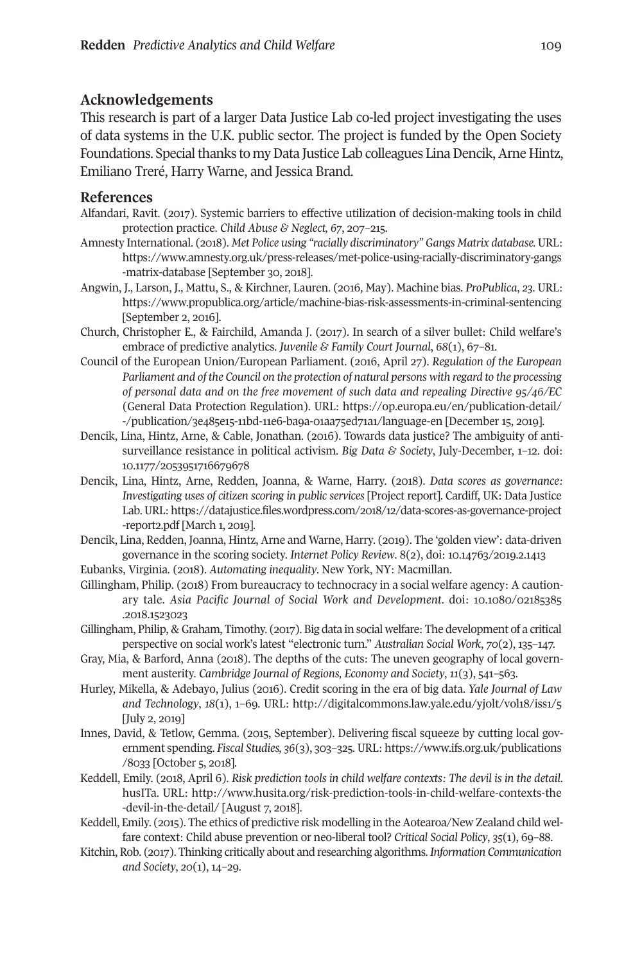# **Acknowledgements**

This research is part of a larger Data Justice Lab co-led project investigating the uses of data systems in the U.K. public sector. The project is funded by the Open Society Foundations. Special thanks to my Data Justice Lab colleagues Lina Dencik, Arne Hintz, Emiliano Treré, Harry Warne, and Jessica Brand.

#### **References**

- Alfandari, Ravit. (2017). Systemic barriers to effective utilization of decision-making tools in child protection practice. *Child Abuse & Neglect, 67*, 207–215.
- Amnesty International. (2018). *Met Police using "racially discriminatory" Gangs Matrix database.* URL: [https://www.amnesty.org.uk/press-releases/met-police-using-racially-discriminatory-gangs](https://www.amnesty.org.uk/press-releases/met-police-using-racially-discriminatory-gangs-matrix-database) [-matrix-database](https://www.amnesty.org.uk/press-releases/met-police-using-racially-discriminatory-gangs-matrix-database) [September 30, 2018].
- Angwin, J., Larson, J., Mattu, S., & Kirchner, Lauren. (2016, May). Machine bias*. ProPublica*, *23*. URL: <https://www.propublica.org/article/machine-bias-risk-assessments-in-criminal-sentencing> [September 2, 2016].
- Church, Christopher E., & Fairchild, Amanda J. (2017). In search of a silver bullet: Child welfare's embrace of predictive analytics. *Juvenile & Family Court Journal*, *68*(1), 67–81.
- Council of the European Union/European Parliament. (2016, April 27). *Regulation of the European Parliament and of the Council on the protection of natural persons with regard to the processing of personal data and on the free movement of such data and repealing Directive 95/46/EC* (General Data Protection Regulation). URL: [https://op.europa.eu/en/publication-detail/](https://op.europa.eu/en/publication-detail/-/publication/3e485e15-11bd-11e6-ba9a-01aa75ed71a1/language-en) [-/publication/3e485e15-11bd-11e6-ba9a-01aa75ed71a1/language-en](https://op.europa.eu/en/publication-detail/-/publication/3e485e15-11bd-11e6-ba9a-01aa75ed71a1/language-en) [December 15, 2019].
- Dencik, Lina, Hintz, Arne, & Cable, Jonathan. (2016). Towards data justice? The ambiguity of antisurveillance resistance in political activism. *Big Data & Society*, July-December, 1–12. doi: [10.1177/2053951716679678](https://doi.org/10.1177/2053951716679678)
- Dencik, Lina, Hintz, Arne, Redden, Joanna, & Warne, Harry. (2018). *Data scores as governance: Investigating uses of citizen scoring in public services* [Project report]. Cardiff, UK: Data Justice Lab.URL: [https://datajustice.files.wordpress.com/2018/12/data-scores-as-governance-project](https://datajustice.files.wordpress.com/2018/12/data-scores-as-governance-project-report2.pdf) [-report2.pdf](https://datajustice.files.wordpress.com/2018/12/data-scores-as-governance-project-report2.pdf) [March 1, 2019].
- Dencik, Lina, Redden, Joanna, Hintz, Arne and Warne, Harry. (2019). The 'golden view': data-driven governance in the scoring society. *Internet Policy Review*. 8(2), doi: <10.14763/2019.2.1413>
- Eubanks, Virginia. (2018). *Automating inequality*. New York, NY: Macmillan.
- Gillingham, Philip. (2018) From bureaucracy to technocracy in a social welfare agency: A cautionary tale. *Asia Pacific Journal of Social Work and Development*. doi: [10.1080/02185385](https://doi.org/10.1080/02185385.2018.1523023) [.2018.1523023](https://doi.org/10.1080/02185385.2018.1523023)
- Gillingham, Philip, & Graham, Timothy. (2017). Big data in social welfare: The development of a critical perspective on social work's latest "electronic turn." *Australian Social Work*, *70*(2), 135–147.
- Gray, Mia, & Barford, Anna (2018). The depths of the cuts: The uneven geography of local government austerity. *Cambridge Journal of Regions, Economy and Society*, *11*(3), 541–563.
- Hurley, Mikella, & Adebayo, Julius (2016). Credit scoring in the era of big data. *Yale Journal of Law and Technology*, *18*(1), 1–69. URL: http://digitalcommons.law.yale.edu/yjolt/vol18/iss1/5 [July 2, 2019]
- Innes, David, & Tetlow, Gemma. (2015, September). Delivering fiscal squeeze by cutting local government spending. *Fiscal Studies, 36*(3), 303–325. URL: [https://www.ifs.org.uk/publications](https://www.ifs.org.uk/publications/8033) [/8033](https://www.ifs.org.uk/publications/8033) [October 5, 2018].
- Keddell, Emily. (2018, April 6). *Risk prediction tools in child welfare contexts: The devil is in the detail*. husITa. URL: [http://www.husita.org/risk-prediction-tools-in-child-welfare-contexts-the](http://www.husita.org/risk-prediction-tools-in-child-welfare-contexts-the-devil-in-the-detail) [-devil-in-the-detail/](http://www.husita.org/risk-prediction-tools-in-child-welfare-contexts-the-devil-in-the-detail) [August 7, 2018].
- Keddell, Emily. (2015). The ethics of predictive risk modelling in the Aotearoa/New Zealand child welfare context: Child abuse prevention or neo-liberal tool? *Critical Social Policy*, *35*(1), 69–88.
- Kitchin, Rob. (2017). Thinking critically about and researching algorithms.*Information Communication and Society*, *20*(1), 14–29.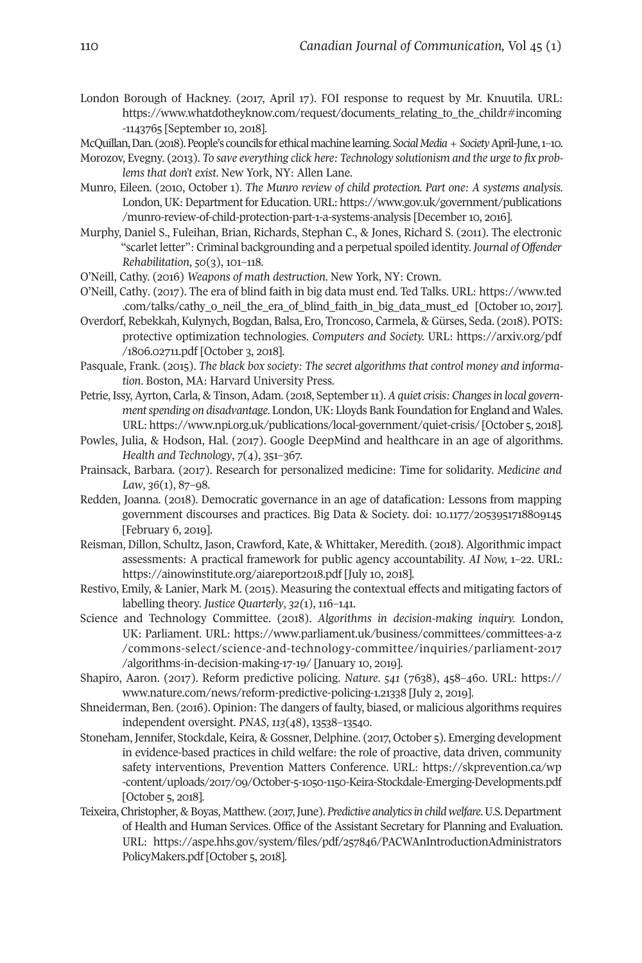- London Borough of Hackney. (2017, April 17). FOI response to request by Mr. Knuutila. URL: [https://www.whatdotheyknow.com/request/documents\\_relating\\_to\\_the\\_childr#incoming](https://www.whatdotheyknow.com/request/documents_relating_to_the_childr#incoming-1143765) [-1143765](https://www.whatdotheyknow.com/request/documents_relating_to_the_childr#incoming-1143765) [September 10, 2018].
- McQuillan,Dan. (2018).People's councils forethicalmachinelearning.*SocialMedia+Society*April-June,1–10.
- Morozov, Evegny. (2013). *To save everything click here: Technology solutionism and the urge to fix problems that don't exist*. New York, NY: Allen Lane.
- Munro, Eileen. (2010, October 1). *The Munro review of child protection. Part one: A systems analysis*. London, UK: Department for Education. URL: [https://www.gov.uk/government/publications](https://www.gov.uk/government/publications/munro-review-of-child-protection-part-1-a-systems-analysis) [/munro-review-of-child-protection-part-1-a-systems-analysis](https://www.gov.uk/government/publications/munro-review-of-child-protection-part-1-a-systems-analysis) [December 10, 2016].
- Murphy, Daniel S., Fuleihan, Brian, Richards, Stephan C., & Jones, Richard S. (2011). The electronic "scarlet letter": Criminal backgrounding and a perpetual spoiled identity. *Journal of Offender Rehabilitation*, *50*(3), 101–118.
- O'Neill, Cathy. (2016) *Weapons of math destruction*. New York, NY: Crown.
- O'Neill, Cathy. (2017). The era of blind faith in big data must end. Ted Talks. URL: https://www.ted .com/talks/cathy\_o\_neil\_the\_era\_of\_blind\_faith\_in\_big\_data\_must\_ed [October10, 2017].
- Overdorf, Rebekkah, Kulynych, Bogdan, Balsa, Ero, Troncoso, Carmela, & Gürses, Seda. (2018). POTS: protective optimization technologies. *Computers and Society.* URL: [https://arxiv.org/pdf](https://arxiv.org/pdf/1806.02711.pdf) [/1806.02711.pdf](https://arxiv.org/pdf/1806.02711.pdf) [October 3, 2018].
- Pasquale, Frank. (2015). *The black box society: The secret algorithms that control money and information*. Boston, MA: Harvard University Press.
- Petrie, Issy, Ayrton, Carla, & Tinson, Adam. (2018, September 11). *A quiet crisis: Changes in local governmentspending on disadvantage*. London,UK: Lloyds Bank Foundation for England and Wales. URL: <https://www.npi.org.uk/publications/local-government/quiet-crisis/> [October 5, 2018].
- Powles, Julia, & Hodson, Hal. (2017). Google DeepMind and healthcare in an age of algorithms. *Health and Technology*, *7*(4), 351–367.
- Prainsack, Barbara. (2017). Research for personalized medicine: Time for solidarity. *Medicine and Law*, *36*(1), 87–98.
- Redden, Joanna. (2018). Democratic governance in an age of datafication: Lessons from mapping government discourses and practices. Big Data & Society. doi: [10.1177/2053951718809145](https://doi.org/10.1177/2053951718809145) [February 6, 2019].
- Reisman, Dillon, Schultz, Jason, Crawford, Kate, & Whittaker, Meredith. (2018). Algorithmic impact assessments: A practical framework for public agency accountability. *AI Now,* 1–22. URL: <https://ainowinstitute.org/aiareport2018.pdf> [July 10, 2018].
- Restivo, Emily, & Lanier, Mark M. (2015). Measuring the contextual effects and mitigating factors of labelling theory. *Justice Quarterly*, *32(*1), 116–141.
- Science and Technology Committee. (2018). *Algorithms in decision-making inquiry.* London, UK: Parliament. URL: [https://www.parliament.uk/business/committees/committees-a-z](https://www.parliament.uk/business/committees/committees-a-z/commons-select/science-and-technology-committee/inquiries/parliament-2017/algorithms-in-decision-making-17-19/) [/commons-select/science-and-technology-committee/inquiries/parliament-2017](https://www.parliament.uk/business/committees/committees-a-z/commons-select/science-and-technology-committee/inquiries/parliament-2017/algorithms-in-decision-making-17-19/) [/algorithms-in-decision-making-17-19/](https://www.parliament.uk/business/committees/committees-a-z/commons-select/science-and-technology-committee/inquiries/parliament-2017/algorithms-in-decision-making-17-19/) [January 10, 2019].
- Shapiro, Aaron. (2017). Reform predictive policing. *Nature*. *541* (7638), 458–460. URL: [https://](https://www.nature.com/news/reform-predictive-policing-1.21338) [www.nature.com/news/reform-predictive-policing-1.21338](https://www.nature.com/news/reform-predictive-policing-1.21338) [July 2, 2019].
- Shneiderman, Ben. (2016). Opinion: The dangers of faulty, biased, or malicious algorithms requires independent oversight. *PNAS*, *113*(48), 13538–13540.
- Stoneham, Jennifer, Stockdale, Keira, & Gossner, Delphine. (2017, October 5). Emerging development in evidence-based practices in child welfare: the role of proactive, data driven, community safety interventions, Prevention Matters Conference. URL: [https://skprevention.ca/wp](https://skprevention.ca/wp-content/uploads/2017/09/October-5-1050-1150-Keira-Stockdale-Emerging-Developments.pdf) [-content/uploads/2017/09/October-5-1050-1150-Keira-Stockdale-Emerging-Developments.pdf](https://skprevention.ca/wp-content/uploads/2017/09/October-5-1050-1150-Keira-Stockdale-Emerging-Developments.pdf) [October 5, 2018].
- Teixeira,Christopher,&Boyas, Matthew. (2017,June). *Predictive analyticsin childwelfare*.U.S.Department of Health and Human Services. Office of the Assistant Secretary for Planning and Evaluation. URL: [https://aspe.hhs.gov/system/files/pdf/257846/PACWAnIntroductionAdministrators](https://aspe.hhs.gov/system/files/pdf/257846/PACWAnIntroductionAdministratorsPolicyMakers.pdf) [PolicyMakers.pdf](https://aspe.hhs.gov/system/files/pdf/257846/PACWAnIntroductionAdministratorsPolicyMakers.pdf) [October 5, 2018].